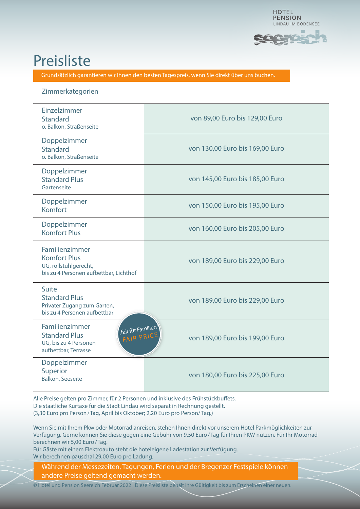

## **Preisliste**

Grundsätzlich garantieren wir Ihnen den besten Tagespreis, wenn Sie direkt über uns buchen.

## Zimmerkategorien

| Einzelzimmer<br><b>Standard</b><br>o. Balkon, Straßenseite                                                                   | von 89,00 Euro bis 129,00 Euro  |
|------------------------------------------------------------------------------------------------------------------------------|---------------------------------|
| Doppelzimmer<br><b>Standard</b><br>o. Balkon, Straßenseite                                                                   | von 130,00 Euro bis 169,00 Euro |
| Doppelzimmer<br><b>Standard Plus</b><br>Gartenseite                                                                          | von 145,00 Euro bis 185,00 Euro |
| Doppelzimmer<br>Komfort                                                                                                      | von 150,00 Euro bis 195,00 Euro |
| Doppelzimmer<br><b>Komfort Plus</b>                                                                                          | von 160,00 Euro bis 205,00 Euro |
| Familienzimmer<br><b>Komfort Plus</b><br>UG, rollstuhlgerecht,<br>bis zu 4 Personen aufbettbar, Lichthof                     | von 189,00 Euro bis 229,00 Euro |
| Suite<br><b>Standard Plus</b><br>Privater Zugang zum Garten,<br>bis zu 4 Personen aufbettbar                                 | von 189,00 Euro bis 229,00 Euro |
| Familienzimmer<br>"fair für Familien"<br><b>Standard Plus</b><br>FAIR PRICE<br>UG, bis zu 4 Personen<br>aufbettbar, Terrasse | von 189,00 Euro bis 199,00 Euro |
| Doppelzimmer<br>Superior<br><b>Balkon, Seeseite</b>                                                                          | von 180,00 Euro bis 225,00 Euro |

Alle Preise gelten pro Zimmer, für 2 Personen und inklusive des Frühstückbuffets. Die staatliche Kurtaxe für die Stadt Lindau wird separat in Rechnung gestellt. (3,30 Euro pro Person/Tag, April bis Oktober; 2,20 Euro pro Person/ Tag.)

Wenn Sie mit Ihrem Pkw oder Motorrad anreisen, stehen Ihnen direkt vor unserem Hotel Parkmöglichkeiten zur Verfügung. Gerne können Sie diese gegen eine Gebühr von 9,50 Euro/Tag für Ihren PKW nutzen. Für Ihr Motorrad berechnen wir 5,00 Euro/Tag.

Für Gäste mit einem Elektroauto steht die hoteleigene Ladestation zur Verfügung. Wir berechnen pauschal 29,00 Euro pro Ladung.

Während der Messezeiten, Tagungen, Ferien und der Bregenzer Festspiele können andere Preise geltend gemacht werden.

© Hotel und Pension Seereich Februar 2022 | Diese Preisliste behält ihre Gültigkeit bis zum Erscheinen einer neuen.